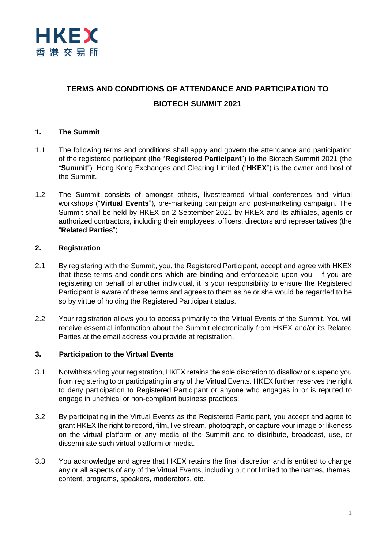

# **TERMS AND CONDITIONS OF ATTENDANCE AND PARTICIPATION TO BIOTECH SUMMIT 2021**

## **1. The Summit**

- 1.1 The following terms and conditions shall apply and govern the attendance and participation of the registered participant (the "**Registered Participant**") to the Biotech Summit 2021 (the "**Summit**"). Hong Kong Exchanges and Clearing Limited ("**HKEX**") is the owner and host of the Summit.
- 1.2 The Summit consists of amongst others, livestreamed virtual conferences and virtual workshops ("**Virtual Events**"), pre-marketing campaign and post-marketing campaign. The Summit shall be held by HKEX on 2 September 2021 by HKEX and its affiliates, agents or authorized contractors, including their employees, officers, directors and representatives (the "**Related Parties**").

#### **2. Registration**

- 2.1 By registering with the Summit, you, the Registered Participant, accept and agree with HKEX that these terms and conditions which are binding and enforceable upon you. If you are registering on behalf of another individual, it is your responsibility to ensure the Registered Participant is aware of these terms and agrees to them as he or she would be regarded to be so by virtue of holding the Registered Participant status.
- 2.2 Your registration allows you to access primarily to the Virtual Events of the Summit. You will receive essential information about the Summit electronically from HKEX and/or its Related Parties at the email address you provide at registration.

### **3. Participation to the Virtual Events**

- 3.1 Notwithstanding your registration, HKEX retains the sole discretion to disallow or suspend you from registering to or participating in any of the Virtual Events. HKEX further reserves the right to deny participation to Registered Participant or anyone who engages in or is reputed to engage in unethical or non-compliant business practices.
- 3.2 By participating in the Virtual Events as the Registered Participant, you accept and agree to grant HKEX the right to record, film, live stream, photograph, or capture your image or likeness on the virtual platform or any media of the Summit and to distribute, broadcast, use, or disseminate such virtual platform or media.
- 3.3 You acknowledge and agree that HKEX retains the final discretion and is entitled to change any or all aspects of any of the Virtual Events, including but not limited to the names, themes, content, programs, speakers, moderators, etc.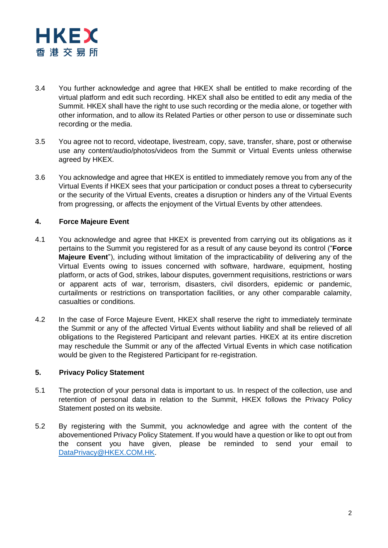

- 3.4 You further acknowledge and agree that HKEX shall be entitled to make recording of the virtual platform and edit such recording. HKEX shall also be entitled to edit any media of the Summit. HKEX shall have the right to use such recording or the media alone, or together with other information, and to allow its Related Parties or other person to use or disseminate such recording or the media.
- 3.5 You agree not to record, videotape, livestream, copy, save, transfer, share, post or otherwise use any content/audio/photos/videos from the Summit or Virtual Events unless otherwise agreed by HKEX.
- 3.6 You acknowledge and agree that HKEX is entitled to immediately remove you from any of the Virtual Events if HKEX sees that your participation or conduct poses a threat to cybersecurity or the security of the Virtual Events, creates a disruption or hinders any of the Virtual Events from progressing, or affects the enjoyment of the Virtual Events by other attendees.

#### **4. Force Majeure Event**

- 4.1 You acknowledge and agree that HKEX is prevented from carrying out its obligations as it pertains to the Summit you registered for as a result of any cause beyond its control ("**Force Majeure Event**"), including without limitation of the impracticability of delivering any of the Virtual Events owing to issues concerned with software, hardware, equipment, hosting platform, or acts of God, strikes, labour disputes, government requisitions, restrictions or wars or apparent acts of war, terrorism, disasters, civil disorders, epidemic or pandemic, curtailments or restrictions on transportation facilities, or any other comparable calamity, casualties or conditions.
- 4.2 In the case of Force Majeure Event, HKEX shall reserve the right to immediately terminate the Summit or any of the affected Virtual Events without liability and shall be relieved of all obligations to the Registered Participant and relevant parties. HKEX at its entire discretion may reschedule the Summit or any of the affected Virtual Events in which case notification would be given to the Registered Participant for re-registration.

#### **5. Privacy Policy Statement**

- 5.1 The protection of your personal data is important to us. In respect of the collection, use and retention of personal data in relation to the Summit, HKEX follows the Privacy Policy Statement posted on its website.
- 5.2 By registering with the Summit, you acknowledge and agree with the content of the abovementioned Privacy Policy Statement. If you would have a question or like to opt out from the consent you have given, please be reminded to send your email to [DataPrivacy@HKEX.COM.HK.](mailto:DataPrivacy@HKEX.COM.HK)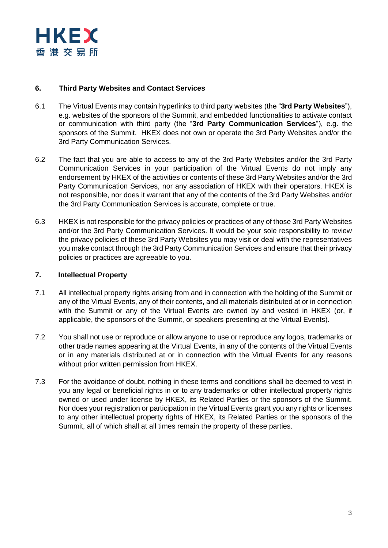

### **6. Third Party Websites and Contact Services**

- 6.1 The Virtual Events may contain hyperlinks to third party websites (the "**3rd Party Websites**"), e.g. websites of the sponsors of the Summit, and embedded functionalities to activate contact or communication with third party (the "**3rd Party Communication Services**"), e.g. the sponsors of the Summit. HKEX does not own or operate the 3rd Party Websites and/or the 3rd Party Communication Services.
- 6.2 The fact that you are able to access to any of the 3rd Party Websites and/or the 3rd Party Communication Services in your participation of the Virtual Events do not imply any endorsement by HKEX of the activities or contents of these 3rd Party Websites and/or the 3rd Party Communication Services, nor any association of HKEX with their operators. HKEX is not responsible, nor does it warrant that any of the contents of the 3rd Party Websites and/or the 3rd Party Communication Services is accurate, complete or true.
- 6.3 HKEX is not responsible for the privacy policies or practices of any of those 3rd Party Websites and/or the 3rd Party Communication Services. It would be your sole responsibility to review the privacy policies of these 3rd Party Websites you may visit or deal with the representatives you make contact through the 3rd Party Communication Services and ensure that their privacy policies or practices are agreeable to you.

#### **7. Intellectual Property**

- 7.1 All intellectual property rights arising from and in connection with the holding of the Summit or any of the Virtual Events, any of their contents, and all materials distributed at or in connection with the Summit or any of the Virtual Events are owned by and vested in HKEX (or, if applicable, the sponsors of the Summit, or speakers presenting at the Virtual Events).
- 7.2 You shall not use or reproduce or allow anyone to use or reproduce any logos, trademarks or other trade names appearing at the Virtual Events, in any of the contents of the Virtual Events or in any materials distributed at or in connection with the Virtual Events for any reasons without prior written permission from HKEX.
- 7.3 For the avoidance of doubt, nothing in these terms and conditions shall be deemed to vest in you any legal or beneficial rights in or to any trademarks or other intellectual property rights owned or used under license by HKEX, its Related Parties or the sponsors of the Summit. Nor does your registration or participation in the Virtual Events grant you any rights or licenses to any other intellectual property rights of HKEX, its Related Parties or the sponsors of the Summit, all of which shall at all times remain the property of these parties.